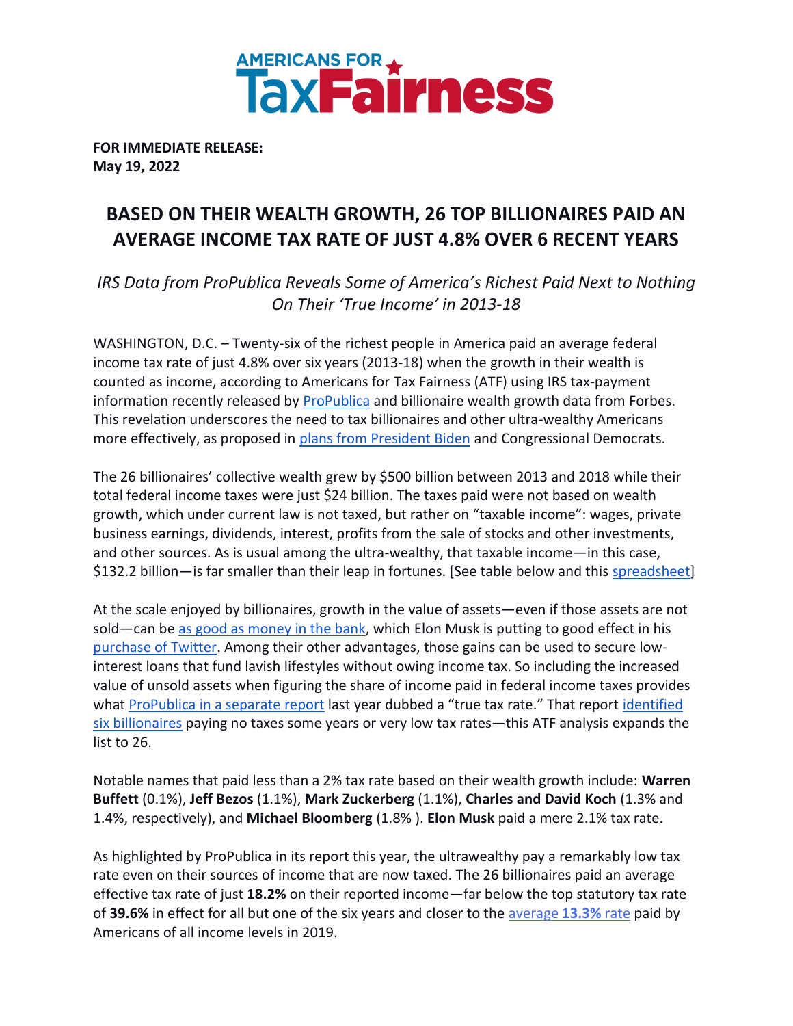

**FOR IMMEDIATE RELEASE: May 19, 2022**

# **BASED ON THEIR WEALTH GROWTH, 26 TOP BILLIONAIRES PAID AN AVERAGE INCOME TAX RATE OF JUST 4.8% OVER 6 RECENT YEARS**

*IRS Data from ProPublica Reveals Some of America's Richest Paid Next to Nothing On Their 'True Income' in 2013-18*

WASHINGTON, D.C. – Twenty-six of the richest people in America paid an average federal income tax rate of just 4.8% over six years (2013-18) when the growth in their wealth is counted as income, according to Americans for Tax Fairness (ATF) using IRS tax-payment information recently released by [ProPublica](https://projects.propublica.org/americas-highest-incomes-and-taxes-revealed/) and billionaire wealth growth data from Forbes. This revelation underscores the need to tax billionaires and other ultra-wealthy Americans more effectively, as proposed in [plans from President Biden](https://billionairestax.org/the-plans/) and Congressional Democrats.

The 26 billionaires' collective wealth grew by \$500 billion between 2013 and 2018 while their total federal income taxes were just \$24 billion. The taxes paid were not based on wealth growth, which under current law is not taxed, but rather on "taxable income": wages, private business earnings, dividends, interest, profits from the sale of stocks and other investments, and other sources. As is usual among the ultra-wealthy, that taxable income—in this case, \$132.2 billion—is far smaller than their leap in fortunes. [See table below and this [spreadsheet\]](https://docs.google.com/spreadsheets/d/1zz8JBuSsUqIE72Ct-2TuX8IfVyevzZ8McAu2sSDCXmc/edit?usp=sharing)

At the scale enjoyed by billionaires, growth in the value of assets—even if those assets are not sold—can be [as good as money in the bank,](https://www.wsj.com/articles/buy-borrow-die-how-rich-americans-live-off-their-paper-wealth-11625909583) which Elon Musk is putting to good effect in his [purchase of Twitter.](https://www.wsj.com/articles/elon-musk-sells-billions-of-dollars-in-tesla-stock-11651197227?mod=hp_lead_pos1) Among their other advantages, those gains can be used to secure lowinterest loans that fund lavish lifestyles without owing income tax. So including the increased value of unsold assets when figuring the share of income paid in federal income taxes provides what [ProPublica in a separate](https://www.propublica.org/article/the-secret-irs-files-trove-of-never-before-seen-records-reveal-how-the-wealthiest-avoid-income-tax) report last year dubbed a "true tax rate." That report identified [six billionaires](https://billionairestax.org/2022/04/02/summary-of-propublica-report-on-billionaire-tax-dodgers/) paying no taxes some years or very low tax rates—this ATF analysis expands the list to 26.

Notable names that paid less than a 2% tax rate based on their wealth growth include: **Warren Buffett** (0.1%), **Jeff Bezos** (1.1%), **Mark Zuckerberg** (1.1%), **Charles and David Koch** (1.3% and 1.4%, respectively), and **Michael Bloomberg** (1.8% ). **Elon Musk** paid a mere 2.1% tax rate.

As highlighted by ProPublica in its report this year, the ultrawealthy pay a remarkably low tax rate even on their sources of income that are now taxed. The 26 billionaires paid an average effective tax rate of just **18.2%** on their reported income—far below the top statutory tax rate of **39.6%** in effect for all but one of the six years and closer to the [average](https://taxfoundation.org/summary-latest-federal-income-tax-data-2022-update/) **[13.3%](https://taxfoundation.org/summary-latest-federal-income-tax-data-2022-update/)** [rate](https://taxfoundation.org/summary-latest-federal-income-tax-data-2022-update/) paid by Americans of all income levels in 2019.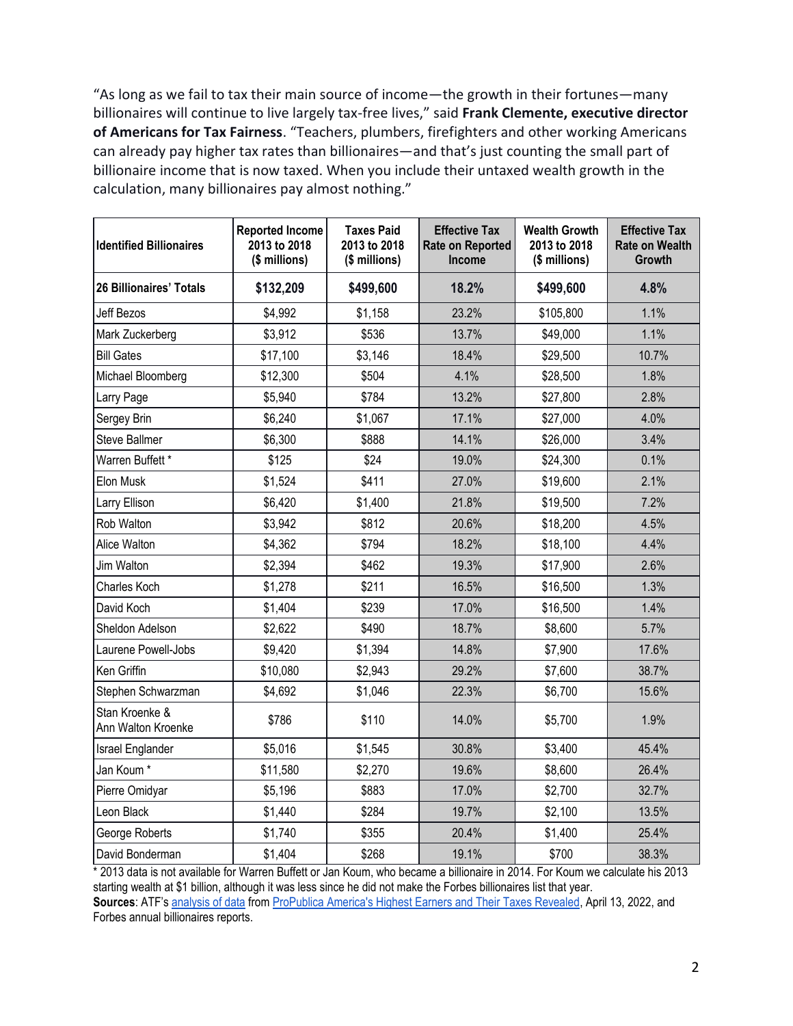"As long as we fail to tax their main source of income—the growth in their fortunes—many billionaires will continue to live largely tax-free lives," said **Frank Clemente, executive director of Americans for Tax Fairness**. "Teachers, plumbers, firefighters and other working Americans can already pay higher tax rates than billionaires—and that's just counting the small part of billionaire income that is now taxed. When you include their untaxed wealth growth in the calculation, many billionaires pay almost nothing."

| <b>Identified Billionaires</b>       | <b>Reported Income</b><br>2013 to 2018<br>(\$ millions) | <b>Taxes Paid</b><br>2013 to 2018<br>(\$ millions) | <b>Effective Tax</b><br><b>Rate on Reported</b><br><b>Income</b> | <b>Wealth Growth</b><br>2013 to 2018<br>(\$ millions) | <b>Effective Tax</b><br><b>Rate on Wealth</b><br>Growth |
|--------------------------------------|---------------------------------------------------------|----------------------------------------------------|------------------------------------------------------------------|-------------------------------------------------------|---------------------------------------------------------|
| <b>26 Billionaires' Totals</b>       | \$132,209                                               | \$499,600                                          | 18.2%                                                            | \$499,600                                             | 4.8%                                                    |
| <b>Jeff Bezos</b>                    | \$4,992                                                 | \$1,158                                            | 23.2%                                                            | \$105,800                                             | 1.1%                                                    |
| Mark Zuckerberg                      | \$3,912                                                 | \$536                                              | 13.7%                                                            | \$49,000                                              | 1.1%                                                    |
| <b>Bill Gates</b>                    | \$17,100                                                | \$3,146                                            | 18.4%                                                            | \$29,500                                              | 10.7%                                                   |
| Michael Bloomberg                    | \$12,300                                                | \$504                                              | 4.1%                                                             | \$28,500                                              | 1.8%                                                    |
| Larry Page                           | \$5,940                                                 | \$784                                              | 13.2%                                                            | \$27,800                                              | 2.8%                                                    |
| Sergey Brin                          | \$6,240                                                 | \$1,067                                            | 17.1%                                                            | \$27,000                                              | 4.0%                                                    |
| <b>Steve Ballmer</b>                 | \$6,300                                                 | \$888                                              | 14.1%                                                            | \$26,000                                              | 3.4%                                                    |
| Warren Buffett *                     | \$125                                                   | \$24                                               | 19.0%                                                            | \$24,300                                              | 0.1%                                                    |
| Elon Musk                            | \$1,524                                                 | \$411                                              | 27.0%                                                            | \$19,600                                              | 2.1%                                                    |
| Larry Ellison                        | \$6,420                                                 | \$1,400                                            | 21.8%                                                            | \$19,500                                              | 7.2%                                                    |
| Rob Walton                           | \$3,942                                                 | \$812                                              | 20.6%                                                            | \$18,200                                              | 4.5%                                                    |
| Alice Walton                         | \$4,362                                                 | \$794                                              | 18.2%                                                            | \$18,100                                              | 4.4%                                                    |
| Jim Walton                           | \$2,394                                                 | \$462                                              | 19.3%                                                            | \$17,900                                              | 2.6%                                                    |
| Charles Koch                         | \$1,278                                                 | \$211                                              | 16.5%                                                            | \$16,500                                              | 1.3%                                                    |
| David Koch                           | \$1,404                                                 | \$239                                              | 17.0%                                                            | \$16,500                                              | 1.4%                                                    |
| Sheldon Adelson                      | \$2,622                                                 | \$490                                              | 18.7%                                                            | \$8,600                                               | 5.7%                                                    |
| Laurene Powell-Jobs                  | \$9,420                                                 | \$1,394                                            | 14.8%                                                            | \$7,900                                               | 17.6%                                                   |
| Ken Griffin                          | \$10,080                                                | \$2,943                                            | 29.2%                                                            | \$7,600                                               | 38.7%                                                   |
| Stephen Schwarzman                   | \$4,692                                                 | \$1,046                                            | 22.3%                                                            | \$6,700                                               | 15.6%                                                   |
| Stan Kroenke &<br>Ann Walton Kroenke | \$786                                                   | \$110                                              | 14.0%                                                            | \$5,700                                               | 1.9%                                                    |
| Israel Englander                     | \$5,016                                                 | \$1,545                                            | 30.8%                                                            | \$3,400                                               | 45.4%                                                   |
| Jan Koum*                            | \$11,580                                                | \$2,270                                            | 19.6%                                                            | \$8,600                                               | 26.4%                                                   |
| Pierre Omidyar                       | \$5,196                                                 | \$883                                              | 17.0%                                                            | \$2,700                                               | 32.7%                                                   |
| Leon Black                           | \$1,440                                                 | \$284                                              | 19.7%                                                            | \$2,100                                               | 13.5%                                                   |
| George Roberts                       | \$1,740                                                 | \$355                                              | 20.4%                                                            | \$1,400                                               | 25.4%                                                   |
| David Bonderman                      | \$1,404                                                 | \$268                                              | 19.1%                                                            | \$700                                                 | 38.3%                                                   |

\* 2013 data is not available for Warren Buffett or Jan Koum, who became a billionaire in 2014. For Koum we calculate his 2013 starting wealth at \$1 billion, although it was less since he did not make the Forbes billionaires list that year. **Sources**: ATF's [analysis of data](https://docs.google.com/spreadsheets/d/1zz8JBuSsUqIE72Ct-2TuX8IfVyevzZ8McAu2sSDCXmc/edit?usp=sharing) from ProPublica [America's Highest Earners and Their Taxes Revealed, April 13, 2022,](https://projects.propublica.org/americas-highest-incomes-and-taxes-revealed/) and Forbes annual billionaires reports.